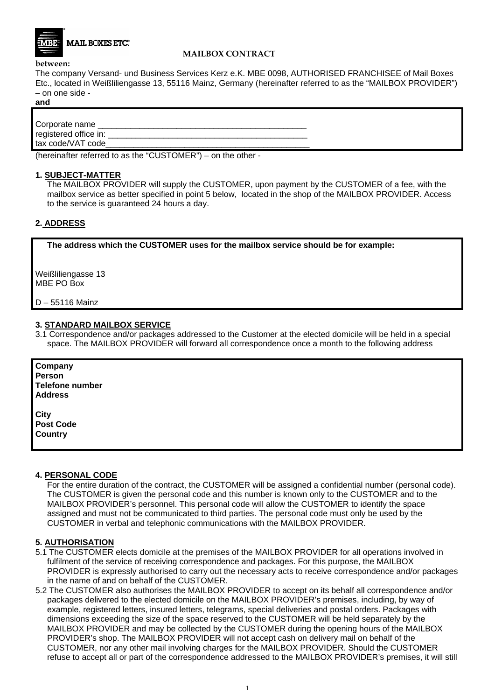

## **MAILBOX CONTRACT**

#### **between:**

The company Versand- und Business Services Kerz e.K. MBE 0098, AUTHORISED FRANCHISEE of Mail Boxes Etc., located in Weißliliengasse 13, 55116 Mainz, Germany (hereinafter referred to as the "MAILBOX PROVIDER") – on one side -

## **and**

| Corporate name        |  |
|-----------------------|--|
| registered office in: |  |
| tax code/VAT code     |  |

(hereinafter referred to as the "CUSTOMER") – on the other -

#### **1. SUBJECT-MATTER**

The MAILBOX PROVIDER will supply the CUSTOMER, upon payment by the CUSTOMER of a fee, with the mailbox service as better specified in point 5 below, located in the shop of the MAILBOX PROVIDER. Access to the service is guaranteed 24 hours a day.

# **2. ADDRESS**

 **The address which the CUSTOMER uses for the mailbox service should be for example:** 

Weißliliengasse 13 MBE PO Box

D – 55116 Mainz

## **3. STANDARD MAILBOX SERVICE**

3.1 Correspondence and/or packages addressed to the Customer at the elected domicile will be held in a special space. The MAILBOX PROVIDER will forward all correspondence once a month to the following address

**Company Person Telefone number Address City Post Code Country** 

#### **4. PERSONAL CODE**

For the entire duration of the contract, the CUSTOMER will be assigned a confidential number (personal code). The CUSTOMER is given the personal code and this number is known only to the CUSTOMER and to the MAILBOX PROVIDER's personnel. This personal code will allow the CUSTOMER to identify the space assigned and must not be communicated to third parties. The personal code must only be used by the CUSTOMER in verbal and telephonic communications with the MAILBOX PROVIDER.

## **5. AUTHORISATION**

- 5.1 The CUSTOMER elects domicile at the premises of the MAILBOX PROVIDER for all operations involved in fulfilment of the service of receiving correspondence and packages. For this purpose, the MAILBOX PROVIDER is expressly authorised to carry out the necessary acts to receive correspondence and/or packages in the name of and on behalf of the CUSTOMER.
- 5.2 The CUSTOMER also authorises the MAILBOX PROVIDER to accept on its behalf all correspondence and/or packages delivered to the elected domicile on the MAILBOX PROVIDER's premises, including, by way of example, registered letters, insured letters, telegrams, special deliveries and postal orders. Packages with dimensions exceeding the size of the space reserved to the CUSTOMER will be held separately by the MAILBOX PROVIDER and may be collected by the CUSTOMER during the opening hours of the MAILBOX PROVIDER's shop. The MAILBOX PROVIDER will not accept cash on delivery mail on behalf of the CUSTOMER, nor any other mail involving charges for the MAILBOX PROVIDER. Should the CUSTOMER refuse to accept all or part of the correspondence addressed to the MAILBOX PROVIDER's premises, it will still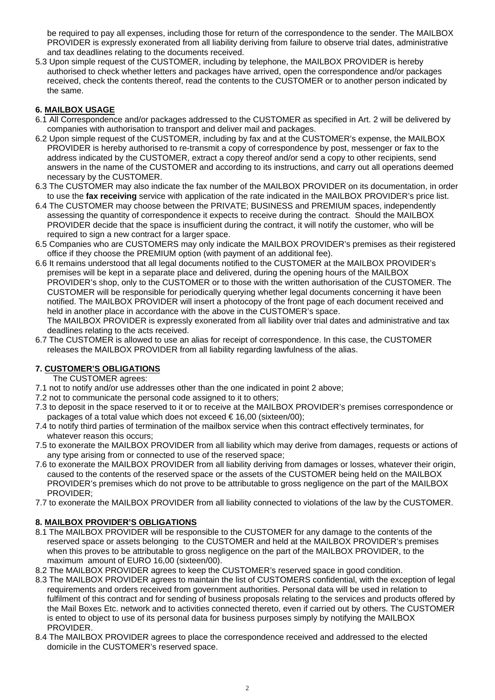be required to pay all expenses, including those for return of the correspondence to the sender. The MAILBOX PROVIDER is expressly exonerated from all liability deriving from failure to observe trial dates, administrative and tax deadlines relating to the documents received.

5.3 Upon simple request of the CUSTOMER, including by telephone, the MAILBOX PROVIDER is hereby authorised to check whether letters and packages have arrived, open the correspondence and/or packages received, check the contents thereof, read the contents to the CUSTOMER or to another person indicated by the same.

# **6. MAILBOX USAGE**

- 6.1 All Correspondence and/or packages addressed to the CUSTOMER as specified in Art. 2 will be delivered by companies with authorisation to transport and deliver mail and packages.
- 6.2 Upon simple request of the CUSTOMER, including by fax and at the CUSTOMER's expense, the MAILBOX PROVIDER is hereby authorised to re-transmit a copy of correspondence by post, messenger or fax to the address indicated by the CUSTOMER, extract a copy thereof and/or send a copy to other recipients, send answers in the name of the CUSTOMER and according to its instructions, and carry out all operations deemed necessary by the CUSTOMER.
- 6.3 The CUSTOMER may also indicate the fax number of the MAILBOX PROVIDER on its documentation, in order to use the **fax receiving** service with application of the rate indicated in the MAILBOX PROVIDER's price list.
- 6.4 The CUSTOMER may choose between the PRIVATE; BUSINESS and PREMIUM spaces, independently assessing the quantity of correspondence it expects to receive during the contract. Should the MAILBOX PROVIDER decide that the space is insufficient during the contract, it will notify the customer, who will be required to sign a new contract for a larger space.
- 6.5 Companies who are CUSTOMERS may only indicate the MAILBOX PROVIDER's premises as their registered office if they choose the PREMIUM option (with payment of an additional fee).
- 6.6 It remains understood that all legal documents notified to the CUSTOMER at the MAILBOX PROVIDER's premises will be kept in a separate place and delivered, during the opening hours of the MAILBOX PROVIDER's shop, only to the CUSTOMER or to those with the written authorisation of the CUSTOMER. The CUSTOMER will be responsible for periodically querying whether legal documents concerning it have been notified. The MAILBOX PROVIDER will insert a photocopy of the front page of each document received and held in another place in accordance with the above in the CUSTOMER's space.

The MAILBOX PROVIDER is expressly exonerated from all liability over trial dates and administrative and tax deadlines relating to the acts received.

6.7 The CUSTOMER is allowed to use an alias for receipt of correspondence. In this case, the CUSTOMER releases the MAILBOX PROVIDER from all liability regarding lawfulness of the alias.

# **7. CUSTOMER'S OBLIGATIONS**

- The CUSTOMER agrees:
- 7.1 not to notify and/or use addresses other than the one indicated in point 2 above;
- 7.2 not to communicate the personal code assigned to it to others;
- 7.3 to deposit in the space reserved to it or to receive at the MAILBOX PROVIDER's premises correspondence or packages of a total value which does not exceed € 16,00 (sixteen/00);
- 7.4 to notify third parties of termination of the mailbox service when this contract effectively terminates, for whatever reason this occurs;
- 7.5 to exonerate the MAILBOX PROVIDER from all liability which may derive from damages, requests or actions of any type arising from or connected to use of the reserved space;
- 7.6 to exonerate the MAILBOX PROVIDER from all liability deriving from damages or losses, whatever their origin, caused to the contents of the reserved space or the assets of the CUSTOMER being held on the MAILBOX PROVIDER's premises which do not prove to be attributable to gross negligence on the part of the MAILBOX PROVIDER;
- 7.7 to exonerate the MAILBOX PROVIDER from all liability connected to violations of the law by the CUSTOMER.

# **8. MAILBOX PROVIDER'S OBLIGATIONS**

- 8.1 The MAILBOX PROVIDER will be responsible to the CUSTOMER for any damage to the contents of the reserved space or assets belonging to the CUSTOMER and held at the MAILBOX PROVIDER's premises when this proves to be attributable to gross negligence on the part of the MAILBOX PROVIDER, to the maximum amount of EURO 16,00 (sixteen/00).
- 8.2 The MAILBOX PROVIDER agrees to keep the CUSTOMER's reserved space in good condition.
- 8.3 The MAILBOX PROVIDER agrees to maintain the list of CUSTOMERS confidential, with the exception of legal requirements and orders received from government authorities. Personal data will be used in relation to fulfilment of this contract and for sending of business proposals relating to the services and products offered by the Mail Boxes Etc. network and to activities connected thereto, even if carried out by others. The CUSTOMER is ented to object to use of its personal data for business purposes simply by notifying the MAILBOX PROVIDER.
- 8.4 The MAILBOX PROVIDER agrees to place the correspondence received and addressed to the elected domicile in the CUSTOMER's reserved space.